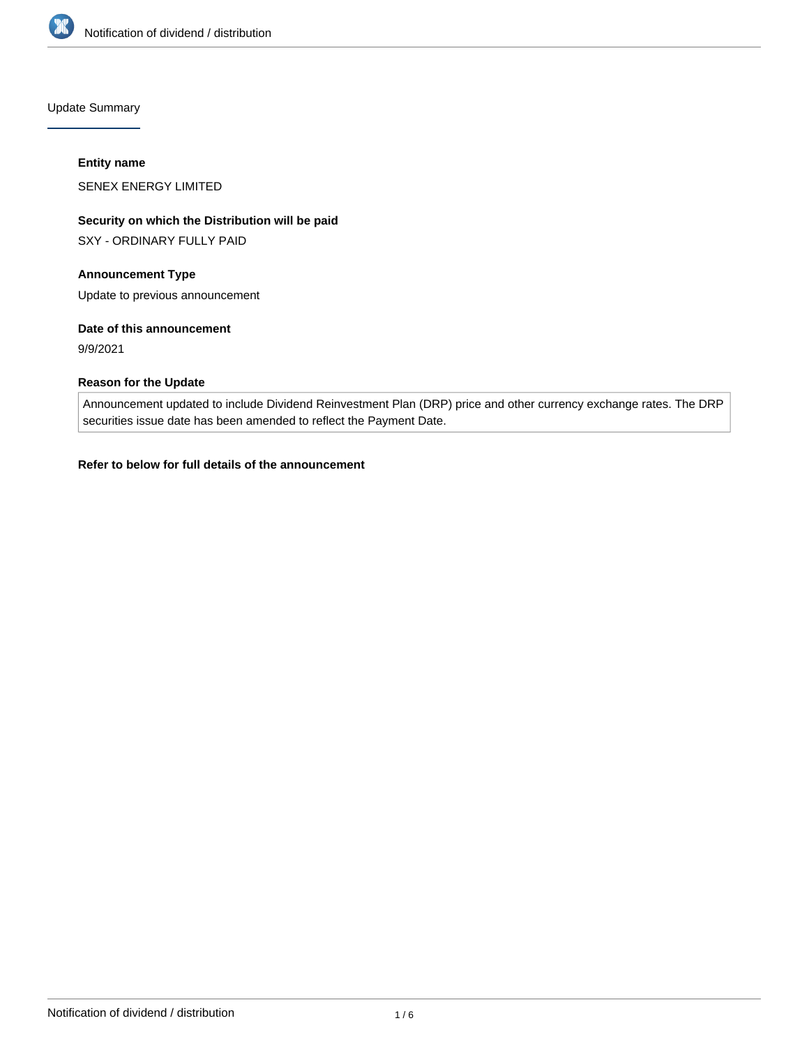

Update Summary

#### **Entity name**

SENEX ENERGY LIMITED

# **Security on which the Distribution will be paid**

SXY - ORDINARY FULLY PAID

# **Announcement Type**

Update to previous announcement

# **Date of this announcement**

9/9/2021

# **Reason for the Update**

Announcement updated to include Dividend Reinvestment Plan (DRP) price and other currency exchange rates. The DRP securities issue date has been amended to reflect the Payment Date.

# **Refer to below for full details of the announcement**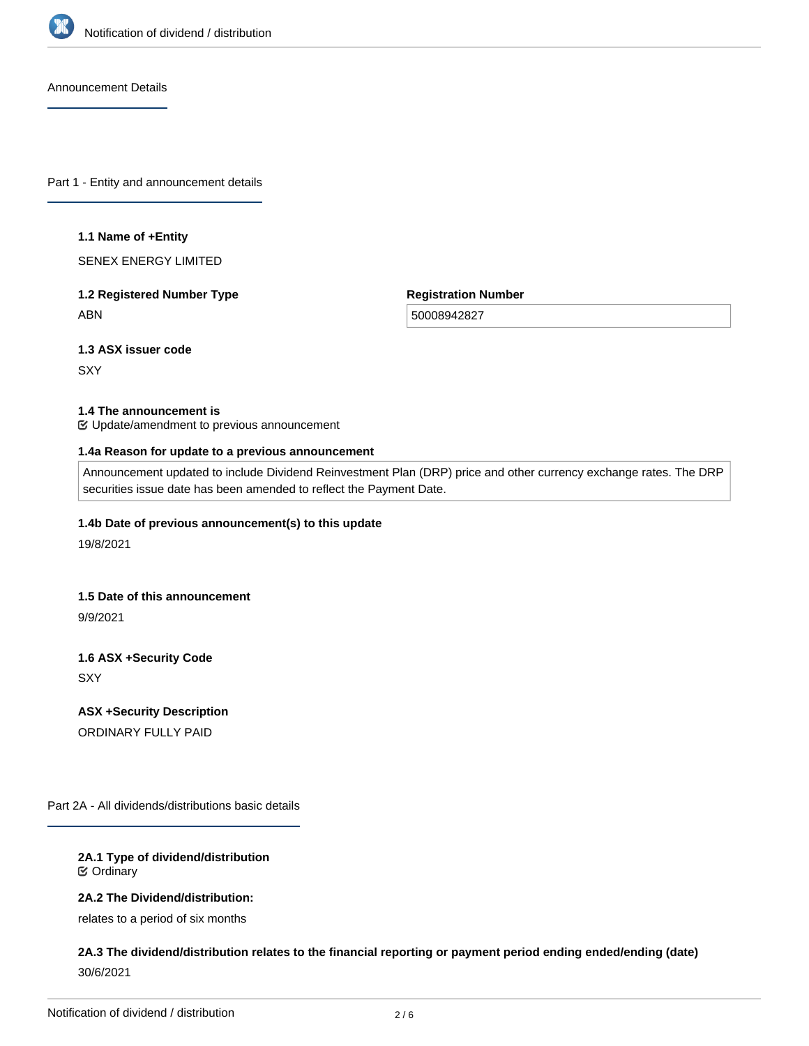

Announcement Details

Part 1 - Entity and announcement details

#### **1.1 Name of +Entity**

SENEX ENERGY LIMITED

# **1.2 Registered Number Type** ABN

**Registration Number**

50008942827

# **1.3 ASX issuer code**

**SXY** 

#### **1.4 The announcement is**

Update/amendment to previous announcement

#### **1.4a Reason for update to a previous announcement**

Announcement updated to include Dividend Reinvestment Plan (DRP) price and other currency exchange rates. The DRP securities issue date has been amended to reflect the Payment Date.

# **1.4b Date of previous announcement(s) to this update**

19/8/2021

# **1.5 Date of this announcement**

9/9/2021

# **1.6 ASX +Security Code SXY**

**ASX +Security Description** ORDINARY FULLY PAID

Part 2A - All dividends/distributions basic details

# **2A.1 Type of dividend/distribution** Ordinary

# **2A.2 The Dividend/distribution:**

relates to a period of six months

# **2A.3 The dividend/distribution relates to the financial reporting or payment period ending ended/ending (date)** 30/6/2021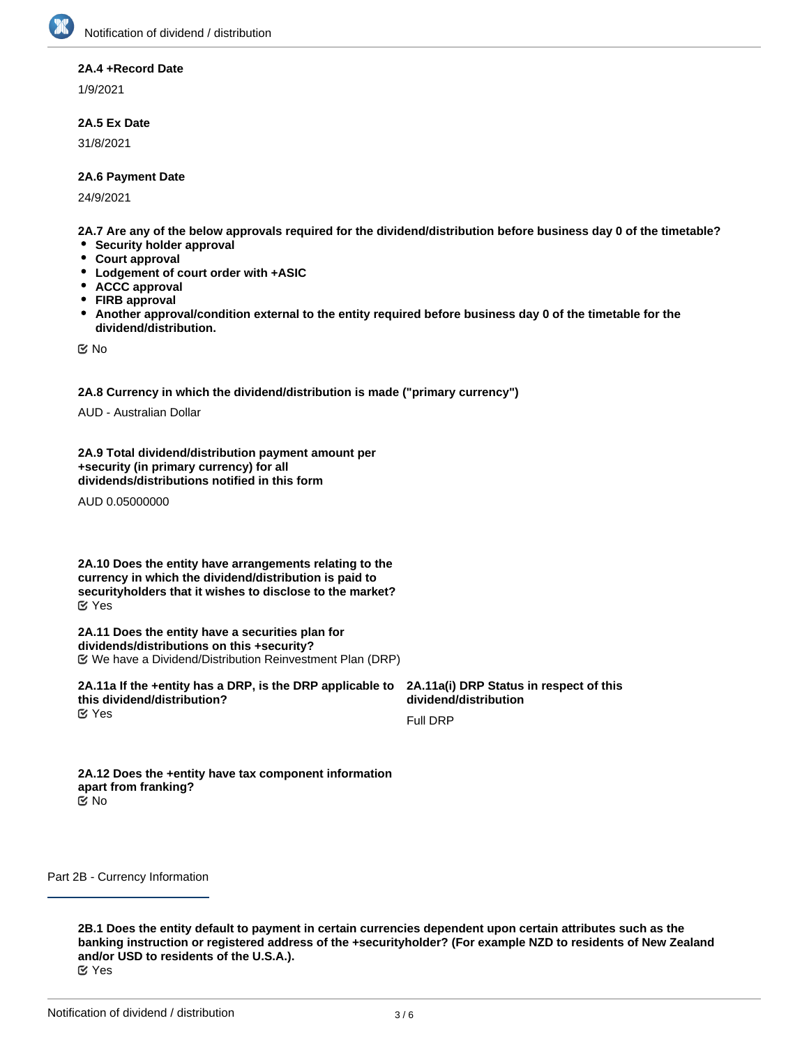#### **2A.4 +Record Date**

1/9/2021

#### **2A.5 Ex Date**

31/8/2021

#### **2A.6 Payment Date**

24/9/2021

**2A.7 Are any of the below approvals required for the dividend/distribution before business day 0 of the timetable?**

- **•** Security holder approval
- **Court approval**
- **Lodgement of court order with +ASIC**
- **ACCC approval**
- $\bullet$ **FIRB approval**
- $\bullet$ **Another approval/condition external to the entity required before business day 0 of the timetable for the dividend/distribution.**

No

**2A.8 Currency in which the dividend/distribution is made ("primary currency")**

AUD - Australian Dollar

**2A.9 Total dividend/distribution payment amount per +security (in primary currency) for all dividends/distributions notified in this form**

AUD 0.05000000

**2A.10 Does the entity have arrangements relating to the currency in which the dividend/distribution is paid to securityholders that it wishes to disclose to the market?** Yes

**2A.11 Does the entity have a securities plan for dividends/distributions on this +security?** We have a Dividend/Distribution Reinvestment Plan (DRP)

**2A.11a If the +entity has a DRP, is the DRP applicable to this dividend/distribution?** Yes

**2B.2 Please provide a description of your currency arrangements**

**2A.11a(i) DRP Status in respect of this dividend/distribution**

Full DRP

**2A.12 Does the +entity have tax component information apart from franking?** No

Part 2B - Currency Information

**2B.1 Does the entity default to payment in certain currencies dependent upon certain attributes such as the banking instruction or registered address of the +securityholder? (For example NZD to residents of New Zealand and/or USD to residents of the U.S.A.).**

Yes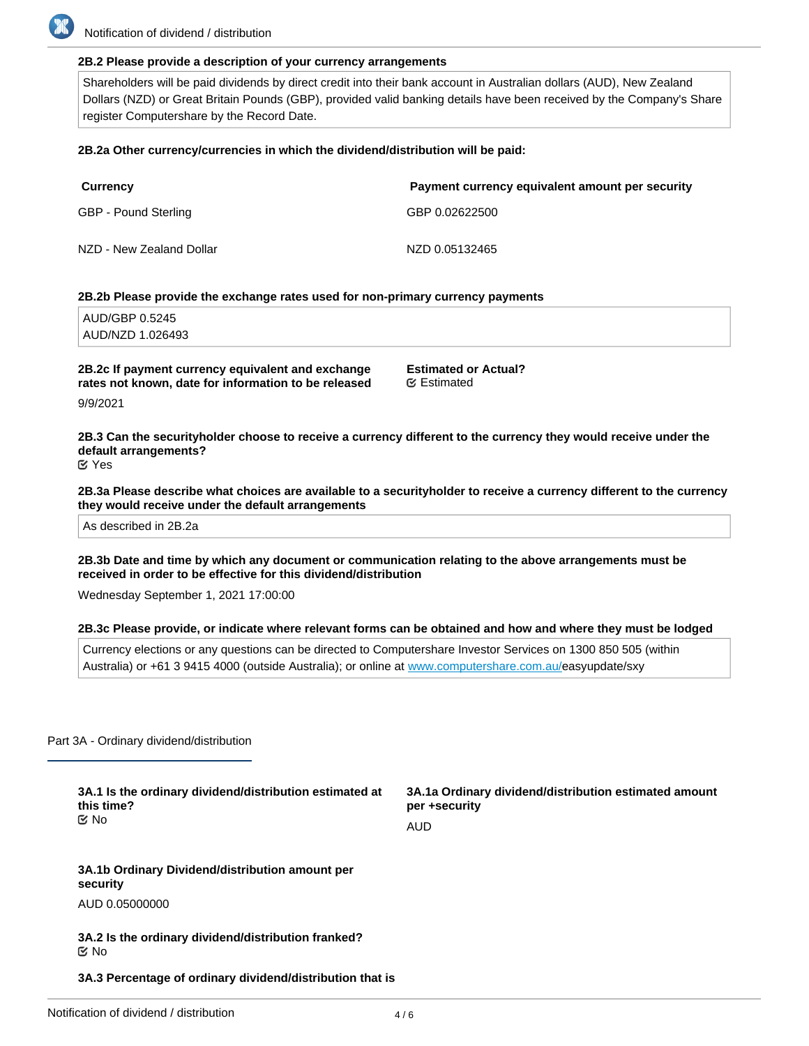#### **2B.2 Please provide a description of your currency arrangements**

Shareholders will be paid dividends by direct credit into their bank account in Australian dollars (AUD), New Zealand Dollars (NZD) or Great Britain Pounds (GBP), provided valid banking details have been received by the Company's Share register Computershare by the Record Date.

#### **2B.2a Other currency/currencies in which the dividend/distribution will be paid:**

| <b>Currency</b>          | Payment currency equivalent amount per security |
|--------------------------|-------------------------------------------------|
| GBP - Pound Sterling     | GBP 0.02622500                                  |
| NZD - New Zealand Dollar | NZD 0.05132465                                  |

#### **2B.2b Please provide the exchange rates used for non-primary currency payments**

AUD/GBP 0.5245 AUD/NZD 1.026493

**2B.2c If payment currency equivalent and exchange rates not known, date for information to be released**

**Estimated or Actual?** Estimated

9/9/2021

**2B.3 Can the securityholder choose to receive a currency different to the currency they would receive under the default arrangements?** Yes

**2B.3a Please describe what choices are available to a securityholder to receive a currency different to the currency they would receive under the default arrangements**

As described in 2B.2a

**2B.3b Date and time by which any document or communication relating to the above arrangements must be received in order to be effective for this dividend/distribution**

Wednesday September 1, 2021 17:00:00

#### **2B.3c Please provide, or indicate where relevant forms can be obtained and how and where they must be lodged**

Currency elections or any questions can be directed to Computershare Investor Services on 1300 850 505 (within Australia) or +61 3 9415 4000 (outside Australia); or online at [www.computershare.com.au/](http://www.computershare.com.au/)easyupdate/sxy

Part 3A - Ordinary dividend/distribution

**3A.1 Is the ordinary dividend/distribution estimated at this time?** No

**3A.1a Ordinary dividend/distribution estimated amount per +security** AUD

**3A.1b Ordinary Dividend/distribution amount per security**

AUD 0.05000000

**franked**

**3A.2 Is the ordinary dividend/distribution franked?** No

**3A.3 Percentage of ordinary dividend/distribution that is**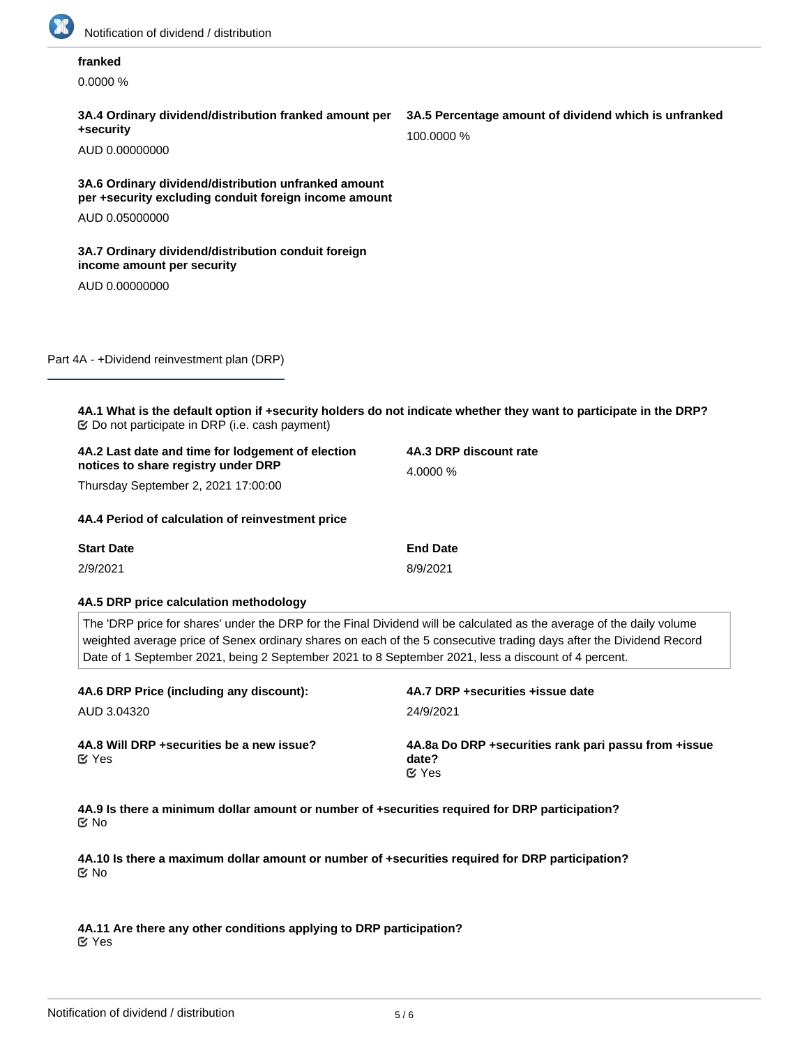

# **franked**

0.0000 %

#### **3A.4 Ordinary dividend/distribution franked amount per +security**

AUD 0.00000000

# **3A.6 Ordinary dividend/distribution unfranked amount per +security excluding conduit foreign income amount** AUD 0.05000000

# **3A.7 Ordinary dividend/distribution conduit foreign income amount per security**

AUD 0.00000000

Part 4A - +Dividend reinvestment plan (DRP)

**4A.1 What is the default option if +security holders do not indicate whether they want to participate in the DRP?**  $\mathfrak{C}$  Do not participate in DRP (i.e. cash payment)

| 4A.2 Last date and time for lodgement of election | 4A.3 DRP discount rate |  |
|---------------------------------------------------|------------------------|--|
| notices to share registry under DRP               | 4.0000 %               |  |
| Thursday September 2, 2021 17:00:00               |                        |  |
| 4A.4 Period of calculation of reinvestment price  |                        |  |

| <b>Start Date</b> | <b>End Date</b> |
|-------------------|-----------------|
| 2/9/2021          | 8/9/2021        |

#### **4A.5 DRP price calculation methodology**

The 'DRP price for shares' under the DRP for the Final Dividend will be calculated as the average of the daily volume weighted average price of Senex ordinary shares on each of the 5 consecutive trading days after the Dividend Record Date of 1 September 2021, being 2 September 2021 to 8 September 2021, less a discount of 4 percent.

| 4A.6 DRP Price (including any discount):                   | 4A.7 DRP + securities + issue date                                              |
|------------------------------------------------------------|---------------------------------------------------------------------------------|
| AUD 3.04320                                                | 24/9/2021                                                                       |
| 4A.8 Will DRP + securities be a new issue?<br><b>M</b> Yes | 4A.8a Do DRP + securities rank pari passu from + issue<br>date?<br>$\alpha$ Yes |

**4A.9 Is there a minimum dollar amount or number of +securities required for DRP participation?** No

**4A.10 Is there a maximum dollar amount or number of +securities required for DRP participation?** No

**4A.11 Are there any other conditions applying to DRP participation?** Yes

# **3A.5 Percentage amount of dividend which is unfranked**

100.0000 %